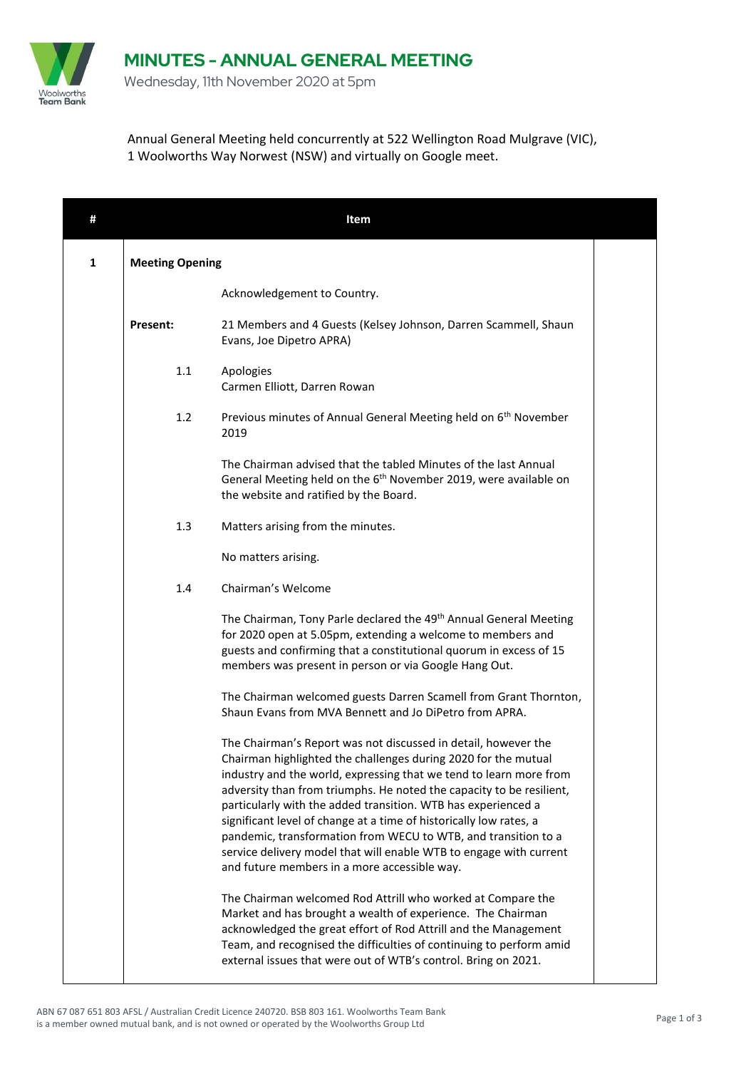

 $\mathsf{l}$ 

Wednesday, 11th November 2020 at 5pm

Annual General Meeting held concurrently at 522 Wellington Road Mulgrave (VIC), 1 Woolworths Way Norwest (NSW) and virtually on Google meet.

| #            |                        | Item                                                                                                                                                                                                                                                                                                                                                                                                                                                                                                                                                                                                          |  |
|--------------|------------------------|---------------------------------------------------------------------------------------------------------------------------------------------------------------------------------------------------------------------------------------------------------------------------------------------------------------------------------------------------------------------------------------------------------------------------------------------------------------------------------------------------------------------------------------------------------------------------------------------------------------|--|
| $\mathbf{1}$ | <b>Meeting Opening</b> |                                                                                                                                                                                                                                                                                                                                                                                                                                                                                                                                                                                                               |  |
|              |                        | Acknowledgement to Country.                                                                                                                                                                                                                                                                                                                                                                                                                                                                                                                                                                                   |  |
|              | Present:               | 21 Members and 4 Guests (Kelsey Johnson, Darren Scammell, Shaun<br>Evans, Joe Dipetro APRA)                                                                                                                                                                                                                                                                                                                                                                                                                                                                                                                   |  |
|              | 1.1                    | Apologies<br>Carmen Elliott, Darren Rowan                                                                                                                                                                                                                                                                                                                                                                                                                                                                                                                                                                     |  |
|              | 1.2                    | Previous minutes of Annual General Meeting held on 6 <sup>th</sup> November<br>2019                                                                                                                                                                                                                                                                                                                                                                                                                                                                                                                           |  |
|              |                        | The Chairman advised that the tabled Minutes of the last Annual<br>General Meeting held on the 6 <sup>th</sup> November 2019, were available on<br>the website and ratified by the Board.                                                                                                                                                                                                                                                                                                                                                                                                                     |  |
|              | 1.3                    | Matters arising from the minutes.                                                                                                                                                                                                                                                                                                                                                                                                                                                                                                                                                                             |  |
|              |                        | No matters arising.                                                                                                                                                                                                                                                                                                                                                                                                                                                                                                                                                                                           |  |
|              | 1.4                    | Chairman's Welcome                                                                                                                                                                                                                                                                                                                                                                                                                                                                                                                                                                                            |  |
|              |                        | The Chairman, Tony Parle declared the 49 <sup>th</sup> Annual General Meeting<br>for 2020 open at 5.05pm, extending a welcome to members and<br>guests and confirming that a constitutional quorum in excess of 15<br>members was present in person or via Google Hang Out.                                                                                                                                                                                                                                                                                                                                   |  |
|              |                        | The Chairman welcomed guests Darren Scamell from Grant Thornton,<br>Shaun Evans from MVA Bennett and Jo DiPetro from APRA.                                                                                                                                                                                                                                                                                                                                                                                                                                                                                    |  |
|              |                        | The Chairman's Report was not discussed in detail, however the<br>Chairman highlighted the challenges during 2020 for the mutual<br>industry and the world, expressing that we tend to learn more from<br>adversity than from triumphs. He noted the capacity to be resilient,<br>particularly with the added transition. WTB has experienced a<br>significant level of change at a time of historically low rates, a<br>pandemic, transformation from WECU to WTB, and transition to a<br>service delivery model that will enable WTB to engage with current<br>and future members in a more accessible way. |  |
|              |                        | The Chairman welcomed Rod Attrill who worked at Compare the<br>Market and has brought a wealth of experience. The Chairman<br>acknowledged the great effort of Rod Attrill and the Management<br>Team, and recognised the difficulties of continuing to perform amid<br>external issues that were out of WTB's control. Bring on 2021.                                                                                                                                                                                                                                                                        |  |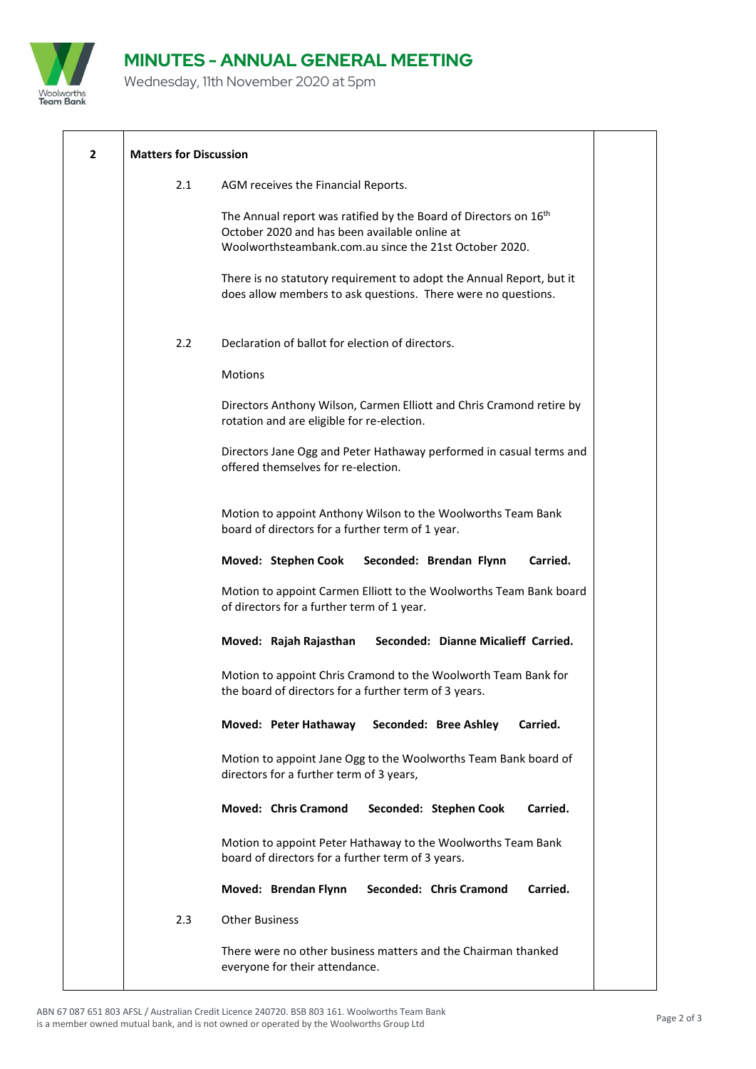

## **MINUTES - ANNUAL GENERAL MEETING**

Wednesday, 11th November 2020 at 5pm

| $\overline{2}$ | <b>Matters for Discussion</b>                                                                                                                                                           |
|----------------|-----------------------------------------------------------------------------------------------------------------------------------------------------------------------------------------|
|                | 2.1<br>AGM receives the Financial Reports.                                                                                                                                              |
|                | The Annual report was ratified by the Board of Directors on 16 <sup>th</sup><br>October 2020 and has been available online at<br>Woolworthsteambank.com.au since the 21st October 2020. |
|                | There is no statutory requirement to adopt the Annual Report, but it<br>does allow members to ask questions. There were no questions.                                                   |
|                | Declaration of ballot for election of directors.<br>2.2                                                                                                                                 |
|                | Motions                                                                                                                                                                                 |
|                | Directors Anthony Wilson, Carmen Elliott and Chris Cramond retire by<br>rotation and are eligible for re-election.                                                                      |
|                | Directors Jane Ogg and Peter Hathaway performed in casual terms and<br>offered themselves for re-election.                                                                              |
|                | Motion to appoint Anthony Wilson to the Woolworths Team Bank<br>board of directors for a further term of 1 year.                                                                        |
|                | Moved: Stephen Cook<br>Carried.<br>Seconded: Brendan Flynn                                                                                                                              |
|                | Motion to appoint Carmen Elliott to the Woolworths Team Bank board<br>of directors for a further term of 1 year.                                                                        |
|                | Seconded: Dianne Micalieff Carried.<br>Moved: Rajah Rajasthan                                                                                                                           |
|                | Motion to appoint Chris Cramond to the Woolworth Team Bank for<br>the board of directors for a further term of 3 years.                                                                 |
|                | Seconded: Bree Ashley<br>Moved: Peter Hathaway<br>Carried.                                                                                                                              |
|                | Motion to appoint Jane Ogg to the Woolworths Team Bank board of<br>directors for a further term of 3 years,                                                                             |
|                | <b>Moved: Chris Cramond</b><br>Seconded: Stephen Cook<br>Carried.                                                                                                                       |
|                | Motion to appoint Peter Hathaway to the Woolworths Team Bank<br>board of directors for a further term of 3 years.                                                                       |
|                | Moved: Brendan Flynn<br>Seconded: Chris Cramond<br>Carried.                                                                                                                             |
|                | <b>Other Business</b><br>2.3                                                                                                                                                            |
|                | There were no other business matters and the Chairman thanked<br>everyone for their attendance.                                                                                         |